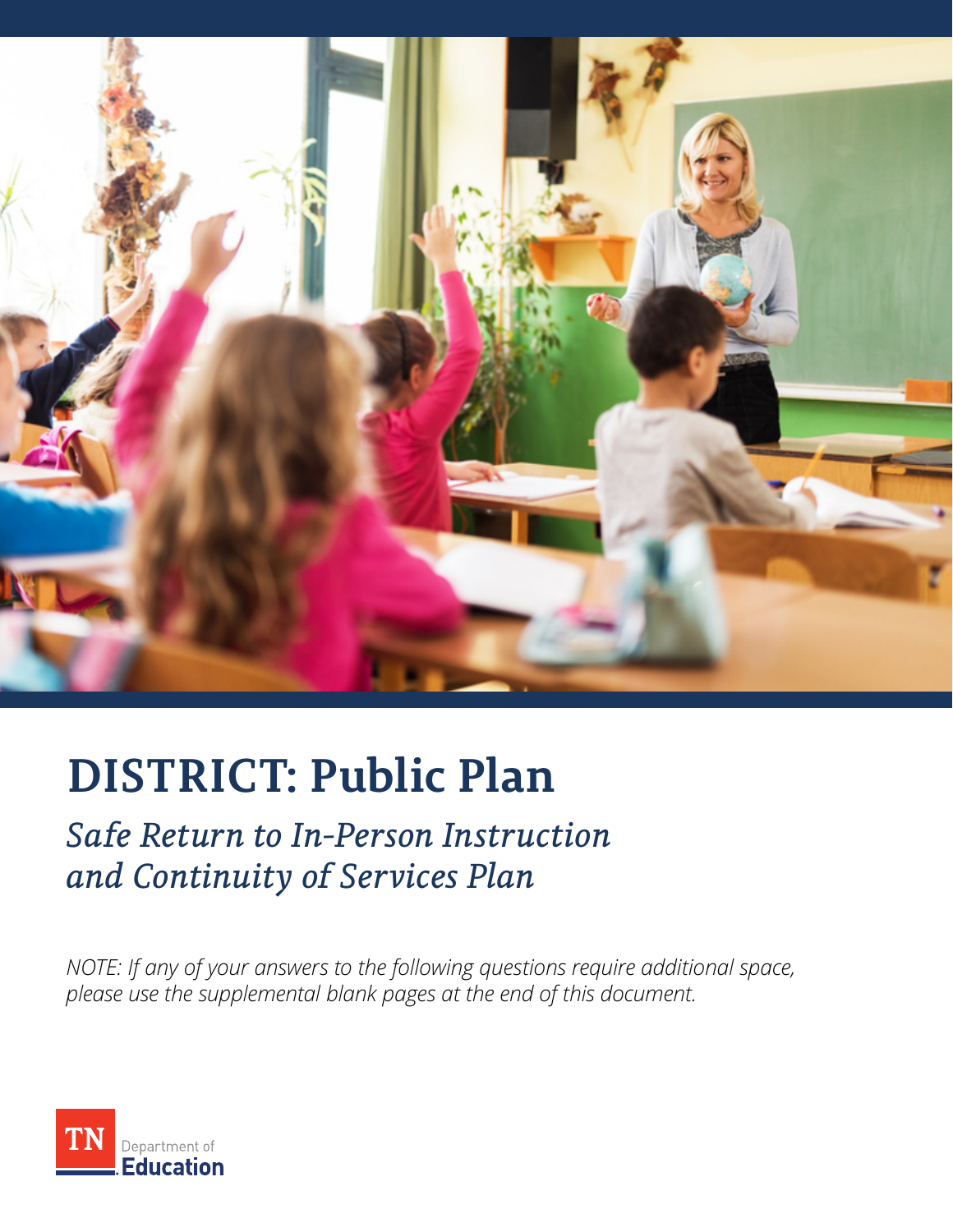

# **DISTRICT: Public Plan**

# *Safe Return to In-Person Instruction and Continuity of Services Plan*

*NOTE: If any of your answers to the following questions require additional space, please use the supplemental blank pages at the end of this document.* 

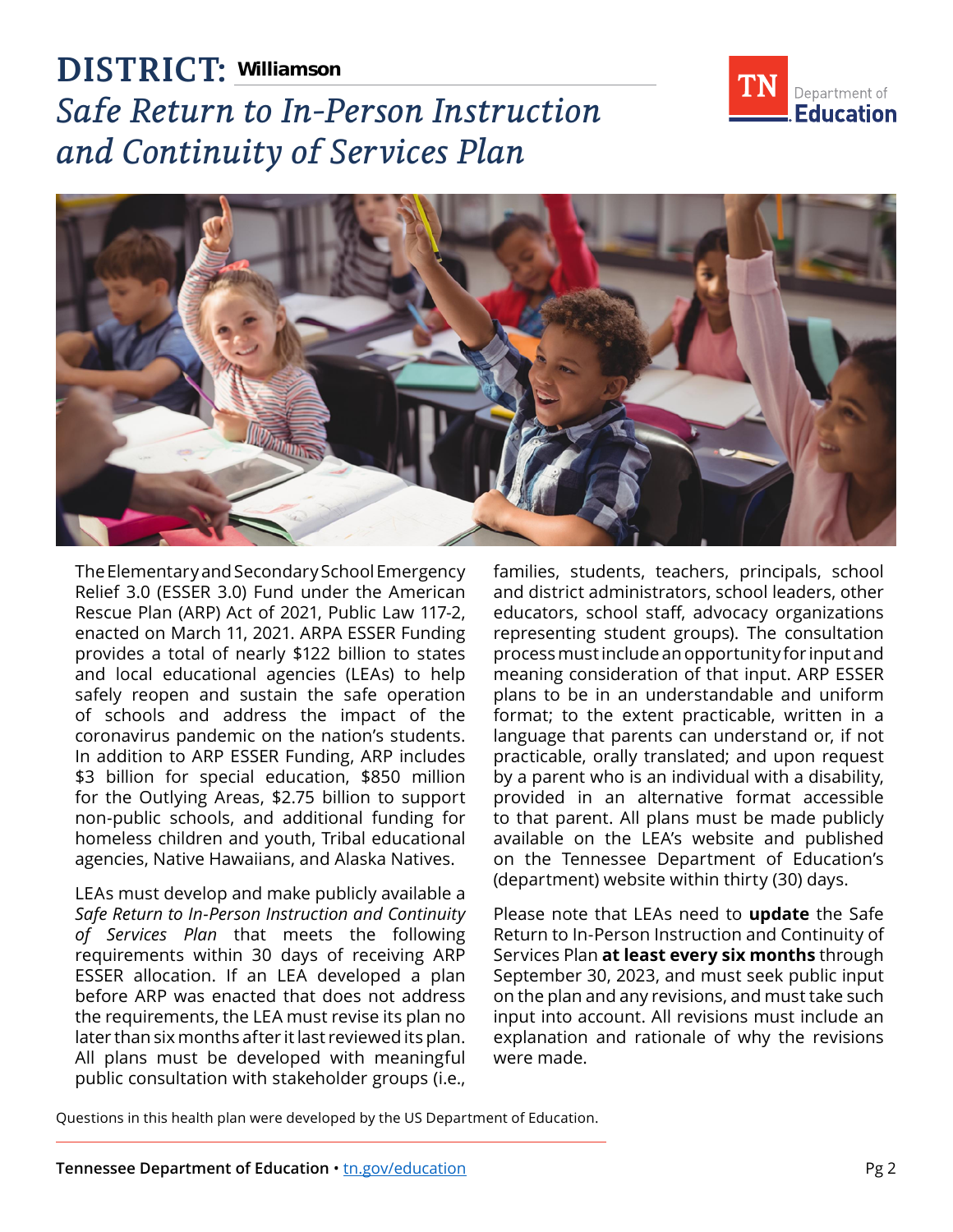

## **DISTRICT: Williamson***Safe Return to In-Person Instruction and Continuity of Services Plan*



The Elementary and Secondary School Emergency Relief 3.0 (ESSER 3.0) Fund under the American Rescue Plan (ARP) Act of 2021, Public Law 117-2, enacted on March 11, 2021. ARPA ESSER Funding provides a total of nearly \$122 billion to states and local educational agencies (LEAs) to help safely reopen and sustain the safe operation of schools and address the impact of the coronavirus pandemic on the nation's students. In addition to ARP ESSER Funding, ARP includes \$3 billion for special education, \$850 million for the Outlying Areas, \$2.75 billion to support non-public schools, and additional funding for homeless children and youth, Tribal educational agencies, Native Hawaiians, and Alaska Natives.

LEAs must develop and make publicly available a *Safe Return to In-Person Instruction and Continuity of Services Plan* that meets the following requirements within 30 days of receiving ARP ESSER allocation. If an LEA developed a plan before ARP was enacted that does not address the requirements, the LEA must revise its plan no later than six months after it last reviewed its plan. All plans must be developed with meaningful public consultation with stakeholder groups (i.e.,

families, students, teachers, principals, school and district administrators, school leaders, other educators, school staff, advocacy organizations representing student groups). The consultation process must include an opportunity for input and meaning consideration of that input. ARP ESSER plans to be in an understandable and uniform format; to the extent practicable, written in a language that parents can understand or, if not practicable, orally translated; and upon request by a parent who is an individual with a disability, provided in an alternative format accessible to that parent. All plans must be made publicly available on the LEA's website and published on the Tennessee Department of Education's (department) website within thirty (30) days.

Please note that LEAs need to **update** the Safe Return to In-Person Instruction and Continuity of Services Plan **at least every six months** through September 30, 2023, and must seek public input on the plan and any revisions, and must take such input into account. All revisions must include an explanation and rationale of why the revisions were made.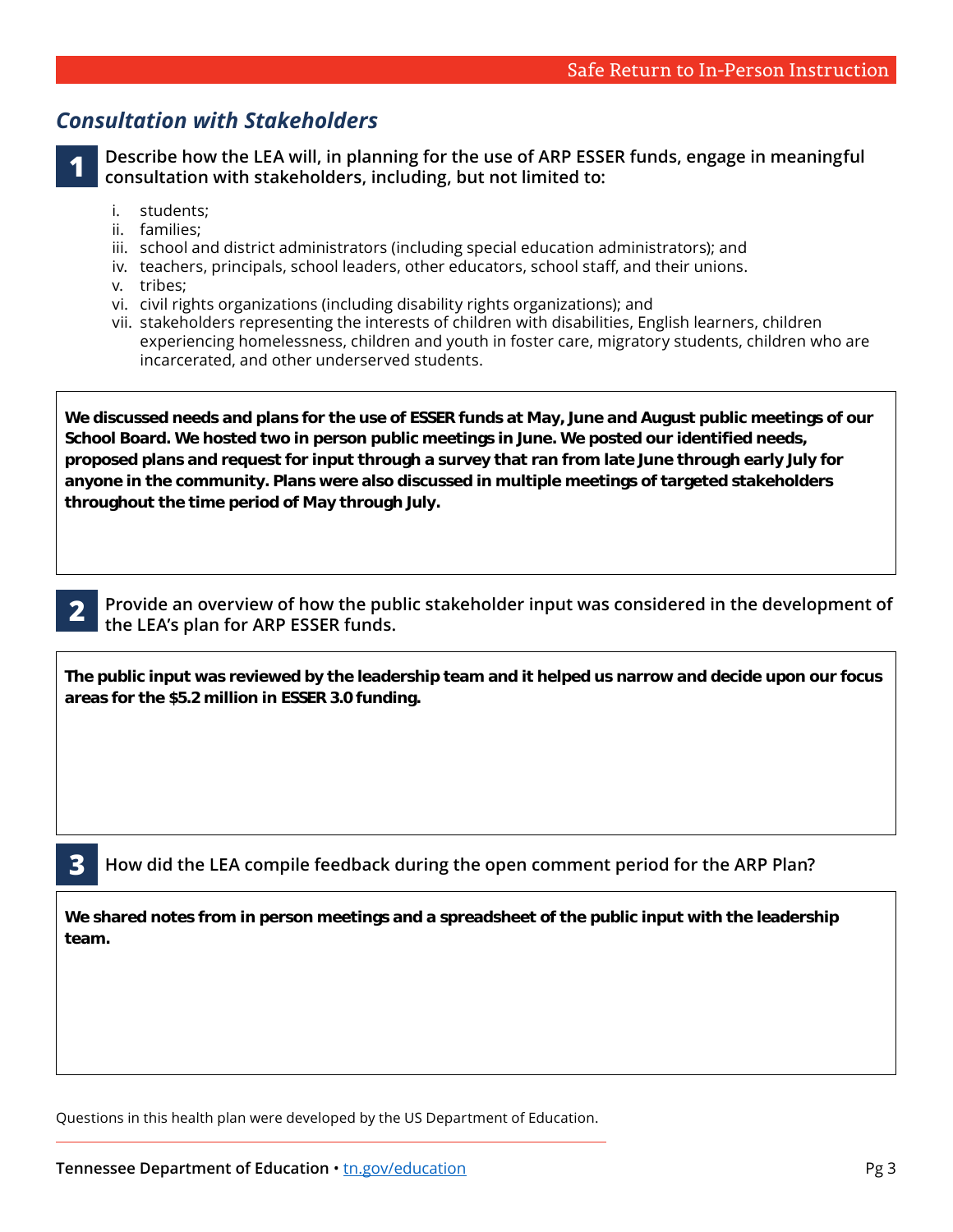#### *Consultation with Stakeholders*

**1 Describe how the LEA will, in planning for the use of ARP ESSER funds, engage in meaningful consultation with stakeholders, including, but not limited to:** 

- students:
- ii. families:
- i. students;<br>ii. families;<br>iii. school and district administrators (including special education administrators); and
- iv. teachers, principals, school leaders, other educators, school staff, and their unions.
- v. tribes;
- vi. civil rights organizations (including disability rights organizations); and
- vii. stakeholders representing the interests of children with disabilities, English learners, children experiencing homelessness, children and youth in foster care, migratory students, children who are incarcerated, and other underserved students.

**We discussed needs and plans for the use of ESSER funds at May, June and August public meetings of our School Board. We hosted two in person public meetings in June. We posted our identified needs, proposed plans and request for input through a survey that ran from late June through early July for anyone in the community. Plans were also discussed in multiple meetings of targeted stakeholders throughout the time period of May through July.**



**2 Provide an overview of how the public stakeholder input was considered in the development of the LEA's plan for ARP ESSER funds.** 

**The public input was reviewed by the leadership team and it helped us narrow and decide upon our focus areas for the \$5.2 million in ESSER 3.0 funding.**

**3 How did the LEA compile feedback during the open comment period for the ARP Plan?** 

**We shared notes from in person meetings and a spreadsheet of the public input with the leadership team.**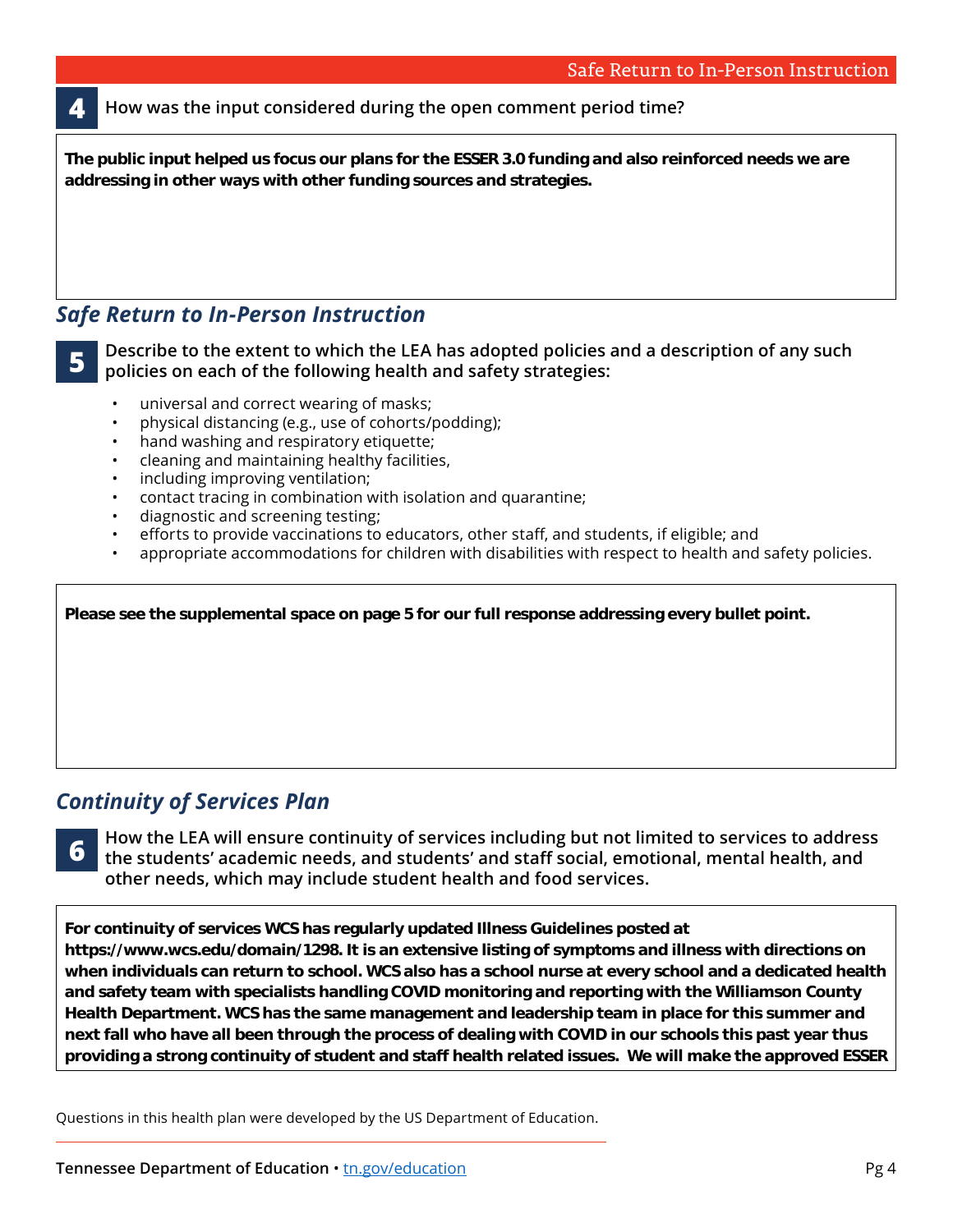**4 How was the input considered during the open comment period time?** 

**The public input helped us focus our plans for the ESSER 3.0 funding and also reinforced needs we are addressing in other ways with other funding sources and strategies.** 

#### *Safe Return to In-Person Instruction*

**5 Describe to the extent to which the LEA has adopted policies and a description of any such policies on each of the following health and safety strategies:** 

- universal and correct wearing of masks;
- physical distancing (e.g., use of cohorts/podding);
- hand washing and respiratory etiquette;
- cleaning and maintaining healthy facilities,
- including improving ventilation;
- contact tracing in combination with isolation and quarantine;
- diagnostic and screening testing;
- efforts to provide vaccinations to educators, other staff, and students, if eligible; and
- appropriate accommodations for children with disabilities with respect to health and safety policies.

| Please see the supplemental space on page 5 for our full response addressing every bullet point. |  |
|--------------------------------------------------------------------------------------------------|--|
|                                                                                                  |  |
|                                                                                                  |  |
|                                                                                                  |  |
|                                                                                                  |  |

### *Continuity of Services Plan*

**6 How the LEA will ensure continuity of services including but not limited to services to address to the students' academic needs, and students' and staff social, emotional, mental health, and other needs, which may include student health and food services.** 

**For continuity of services WCS has regularly updated Illness Guidelines posted at https://www.wcs.edu/domain/1298. It is an extensive listing of symptoms and illness with directions on when individuals can return to school. WCS also has a school nurse at every school and a dedicated health and safety team with specialists handling COVID monitoring and reporting with the Williamson County Health Department. WCS has the same management and leadership team in place for this summer and next fall who have all been through the process of dealing with COVID in our schools this past year thus providing a strong continuity of student and staff health related issues. We will make the approved ESSER** 

**templates public, continue to reach out to stakeholders including the Health Department for meaningful**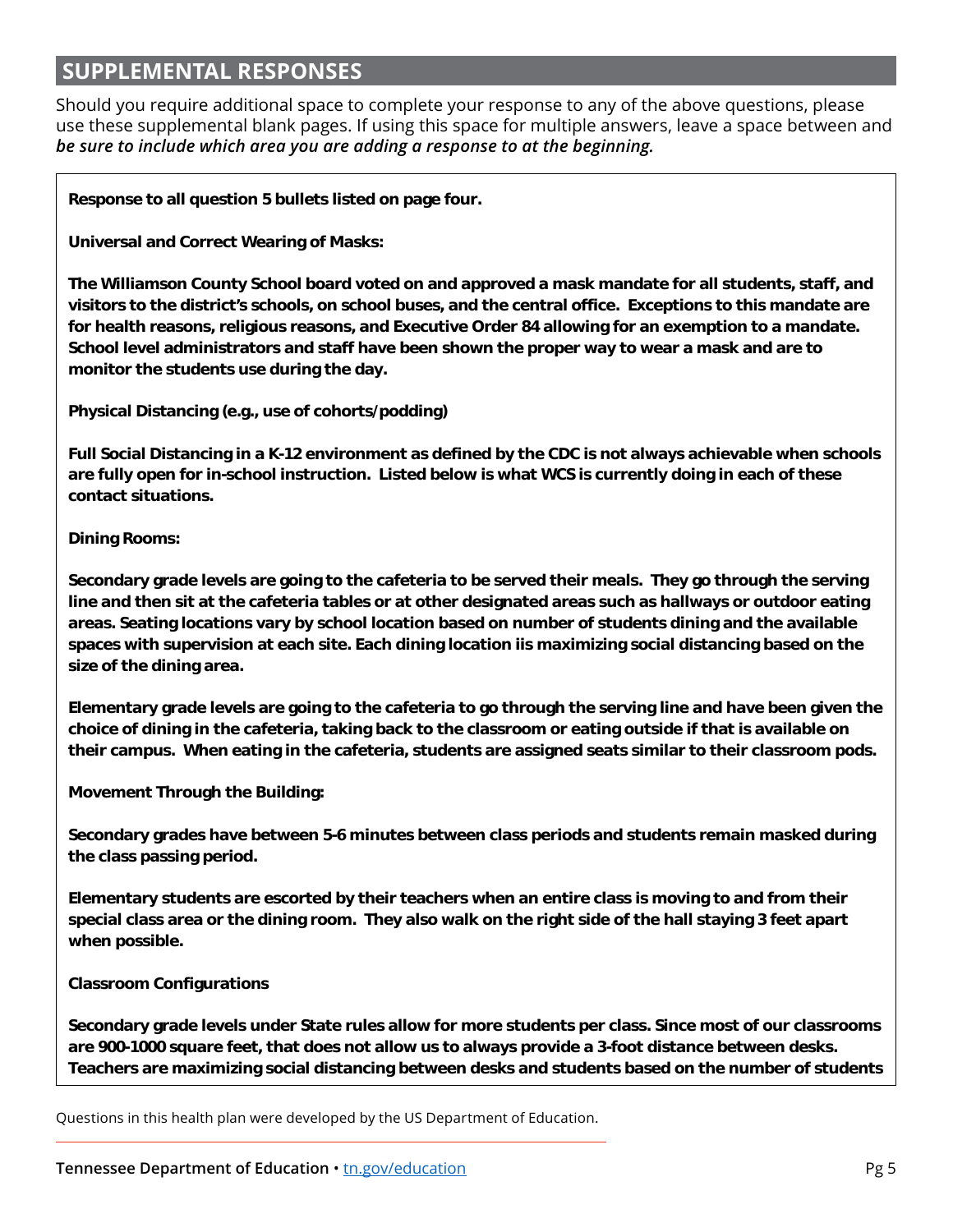#### **SUPPLEMENTAL RESPONSES RESPONSES**

Should you require additional space to complete your response to any of the above questions, please use these supplemental blank pages. If using this space for multiple answers, leave a space between and *be sure to include which area you are adding a response to at the beginning.* 

**Response to all question 5 bullets listed on page four.** 

**Universal and Correct Wearing of Masks:** 

**The Williamson County School board voted on and approved a mask mandate for all students, staff, and visitors to the district's schools, on school buses, and the central office. Exceptions to this mandate are for health reasons, religious reasons, and Executive Order 84 allowing for an exemption to a mandate. School level administrators and staff have been shown the proper way to wear a mask and are to monitor the students use during the day.** 

**Physical Distancing (e.g., use of cohorts/podding)** 

**Full Social Distancing in a K-12 environment as defined by the CDC is not always achievable when schools are fully open for in-school instruction. Listed below is what WCS is currently doing in each of these contact situations.** 

#### **Dining Rooms:**

**Secondary grade levels are going to the cafeteria to be served their meals. They go through the serving line and then sit at the cafeteria tables or at other designated areas such as hallways or outdoor eating areas. Seating locations vary by school location based on number of students dining and the available spaces with supervision at each site. Each dining location iis maximizing social distancing based on the size of the dining area.** 

**Elementary grade levels are going to the cafeteria to go through the serving line and have been given the choice of dining in the cafeteria, taking back to the classroom or eating outside if that is available on their campus. When eating in the cafeteria, students are assigned seats similar to their classroom pods.** 

**Movement Through the Building:** 

**Secondary grades have between 5-6 minutes between class periods and students remain masked during the class passing period.** 

**Elementary students are escorted by their teachers when an entire class is moving to and from their special class area or the dining room. They also walk on the right side of the hall staying 3 feet apart when possible.** 

#### **Classroom Configurations**

**Secondary grade levels under State rules allow for more students per class. Since most of our classrooms are 900-1000 square feet, that does not allow us to always provide a 3-foot distance between desks. Teachers are maximizing social distancing between desks and students based on the number of students** 

**present and the size of the room. When students are moving around the classroom for labs and other**